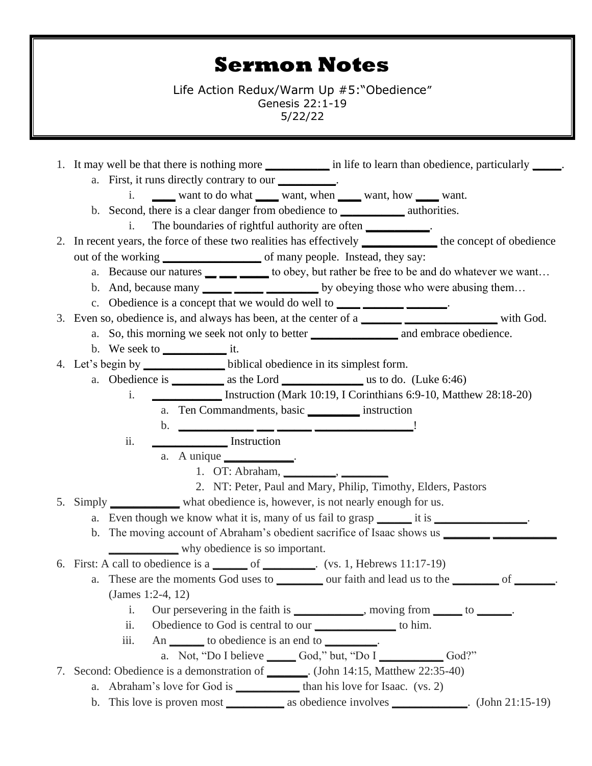## **Sermon Notes**

Life Action Redux/Warm Up #5:"Obedience" Genesis 22:1-19 5/22/22

1. It may well be that there is nothing more **\_\_\_\_\_\_\_\_\_\_\_** in life to learn than obedience, particularly **\_\_\_\_\_**. a. First, it runs directly contrary to our **\_\_\_\_\_\_\_\_\_\_**. i. **\_\_\_\_** want to do what **\_\_\_\_** want, when **\_\_\_\_** want, how **\_\_\_\_** want. b. Second, there is a clear danger from obedience to **\_\_\_\_\_\_\_\_\_\_\_** authorities. i. The boundaries of rightful authority are often 2. In recent years, the force of these two realities has effectively the concept of obedience out of the working **\_\_\_\_\_\_\_\_\_\_\_\_\_\_\_** of many people. Instead, they say: a. Because our natures **\_\_ \_\_\_ \_\_\_\_\_** to obey, but rather be free to be and do whatever we want… b. And, because many **\_\_\_\_\_ \_\_\_\_\_ \_\_\_\_\_\_** by obeying those who were abusing them... c. Obedience is a concept that we would do well to **\_\_\_\_** \_\_\_\_\_\_\_\_\_\_\_\_\_\_. 3. Even so, obedience is, and always has been, at the center of a **\_\_\_\_\_\_\_ \_\_\_\_\_\_\_\_\_\_\_\_\_\_\_\_** with God. a. So, this morning we seek not only to better **\_\_\_\_\_\_\_\_\_\_\_\_\_\_\_** and embrace obedience. b. We seek to **\_\_\_\_\_\_\_\_\_\_\_** it. 4. Let's begin by **\_\_\_\_\_\_\_\_\_\_\_\_\_\_** biblical obedience in its simplest form. a. Obedience is **\_\_\_\_\_\_\_\_\_** as the Lord **\_\_\_\_\_\_\_\_\_\_\_\_\_\_** us to do. (Luke 6:46) i. **\_\_\_\_\_\_\_\_\_\_\_\_** Instruction (Mark 10:19, I Corinthians 6:9-10, Matthew 28:18-20) a. Ten Commandments, basic **\_\_\_\_\_\_\_\_\_** instruction b. **\_\_\_\_\_\_\_\_\_\_\_\_\_ \_\_\_ \_\_\_\_\_\_ \_\_\_\_\_\_\_\_\_\_\_\_\_\_\_\_\_**! ii. **\_\_\_\_\_\_\_\_\_\_\_\_\_** Instruction a. A unique **\_\_\_\_\_\_\_\_\_\_\_\_**. 1. OT: Abraham, **\_\_\_\_\_\_\_\_\_**, **\_\_\_\_\_\_\_\_** 2. NT: Peter, Paul and Mary, Philip, Timothy, Elders, Pastors 5. Simply **\_\_\_\_\_\_\_\_\_\_\_\_** what obedience is, however, is not nearly enough for us. a. Even though we know what it is, many of us fail to grasp it is  $\cdot$ b. The moving account of Abraham's obedient sacrifice of Isaac shows us **\_\_\_\_\_\_\_\_ \_\_\_\_\_\_\_\_\_\_\_** why obedience is so important. 6. First: A call to obedience is a **\_\_\_\_\_\_** of **\_\_\_\_\_\_\_\_\_**. (vs. 1, Hebrews 11:17-19) a. These are the moments God uses to **\_\_\_\_\_\_\_\_** our faith and lead us to the **\_\_\_\_\_\_\_\_** of **\_\_\_\_\_\_\_**. (James 1:2-4, 12) i. Our persevering in the faith is **\_\_\_\_\_\_\_\_\_\_\_\_**, moving from **\_\_\_\_\_** to **\_\_\_\_\_\_**. ii. Obedience to God is central to our **\_\_\_\_\_\_\_\_\_\_\_\_\_\_** to him. iii. An **\_\_\_\_\_\_** to obedience is an end to **\_\_\_\_\_\_\_\_\_**. a. Not, "Do I believe **\_\_\_\_\_** God," but, "Do I **\_\_\_\_\_\_\_\_\_\_\_** God?" 7. Second: Obedience is a demonstration of **\_\_\_\_\_\_\_**. (John 14:15, Matthew 22:35-40) a. Abraham's love for God is **\_\_\_\_\_\_\_\_\_\_\_** than his love for Isaac. (vs. 2) b. This love is proven most **\_\_\_\_\_\_\_\_\_\_** as obedience involves **\_\_\_\_\_\_\_\_\_\_\_\_\_**. (John 21:15-19)